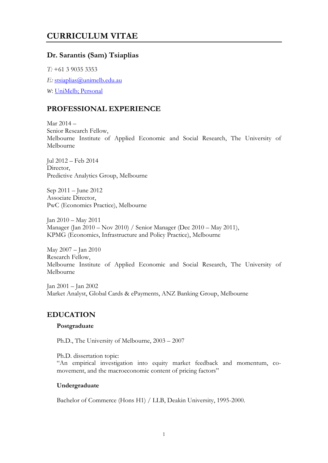# **CURRICULUM VITAE**

## **Dr. Sarantis (Sam) Tsiaplias**

*T:* +61 3 9035 3353 *E:* [stsiaplias@unimelb.edu.au](mailto:stsiaplias@unimelb.edu.au) *W*: [UniMelb;](https://findanexpert.unimelb.edu.au/display/person133989) [Personal](https://sites.google.com/site/tsiaplias/)

## **PROFESSIONAL EXPERIENCE**

Mar 2014 – Senior Research Fellow, Melbourne Institute of Applied Economic and Social Research, The University of Melbourne

Jul 2012 – Feb 2014 Director, Predictive Analytics Group, Melbourne

Sep 2011 – June 2012 Associate Director, PwC (Economics Practice), Melbourne

Jan 2010 – May 2011 Manager (Jan 2010 – Nov 2010) / Senior Manager (Dec 2010 – May 2011), KPMG (Economics, Infrastructure and Policy Practice), Melbourne

May 2007 – Jan 2010 Research Fellow, Melbourne Institute of Applied Economic and Social Research, The University of Melbourne

Jan 2001 – Jan 2002 Market Analyst, Global Cards & ePayments, ANZ Banking Group, Melbourne

### **EDUCATION**

### **Postgraduate**

Ph.D., The University of Melbourne, 2003 – 2007

Ph.D. dissertation topic:

"An empirical investigation into equity market feedback and momentum, comovement, and the macroeconomic content of pricing factors"

### **Undergraduate**

Bachelor of Commerce (Hons H1) / LLB, Deakin University, 1995-2000.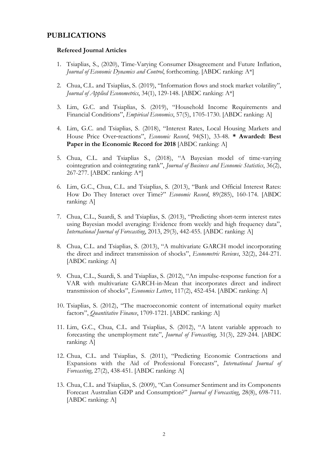### **PUBLICATIONS**

#### **Refereed Journal Articles**

- 1. Tsiaplias, S., (2020), Time-Varying Consumer Disagreement and Future Inflation, *Journal of Economic Dynamics and Control*, forthcoming. [ABDC ranking: A\*]
- 2. Chua, C.L. and Tsiaplias, S. (2019), "Information flows and stock market volatility", *Journal of Applied Econometrics*, 34(1), 129-148. [ABDC ranking: A\*]
- 3. Lim, G.C. and Tsiaplias, S. (2019), "Household Income Requirements and Financial Conditions", *Empirical Economics*, 57(5), 1705-1730. [ABDC ranking: A]
- 4. Lim, G.C. and Tsiaplias, S. (2018), "Interest Rates, Local Housing Markets and House Price Over‐reactions", *Economic Record*, 94(S1), 33-48. **\* Awarded: Best Paper in the Economic Record for 2018** [ABDC ranking: A]
- 5. Chua, C.L. and Tsiaplias S., (2018), "A Bayesian model of time-varying cointegration and cointegrating rank", *Journal of Business and Economic Statistics*, 36(2), 267-277. [ABDC ranking: A\*]
- 6. Lim, G.C., Chua, C.L. and Tsiaplias, S. (2013), "Bank and Official Interest Rates: How Do They Interact over Time?" *Economic Record*, 89(285), 160-174. [ABDC ranking: A]
- 7. Chua, C.L., Suardi, S. and Tsiaplias, S. (2013), "Predicting short-term interest rates using Bayesian model averaging: Evidence from weekly and high frequency data", *International Journal of Forecasting*, 2013, 29(3), 442-455. [ABDC ranking: A]
- 8. Chua, C.L. and Tsiaplias, S. (2013), "A multivariate GARCH model incorporating the direct and indirect transmission of shocks", *Econometric Reviews*, 32(2), 244-271. [ABDC ranking: A]
- 9. Chua, C.L., Suardi, S. and Tsiaplias, S. (2012), "An impulse-response function for a VAR with multivariate GARCH-in-Mean that incorporates direct and indirect transmission of shocks", *Economics Letters*, 117(2), 452-454. [ABDC ranking: A]
- 10. Tsiaplias, S. (2012), "The macroeconomic content of international equity market factors", *Quantitative Finance*, 1709-1721. [ABDC ranking: A]
- 11. Lim, G.C., Chua, C.L. and Tsiaplias, S. (2012), "A latent variable approach to forecasting the unemployment rate", *Journal of Forecasting*, 31(3), 229-244. [ABDC ranking: A]
- 12. Chua, C.L. and Tsiaplias, S. (2011), "Predicting Economic Contractions and Expansions with the Aid of Professional Forecasts", *International Journal of Forecasting*, 27(2), 438-451. [ABDC ranking: A]
- 13. Chua, C.L. and Tsiaplias, S. (2009), "Can Consumer Sentiment and its Components Forecast Australian GDP and Consumption?" *Journal of Forecasting*, 28(8), 698-711. [ABDC ranking: A]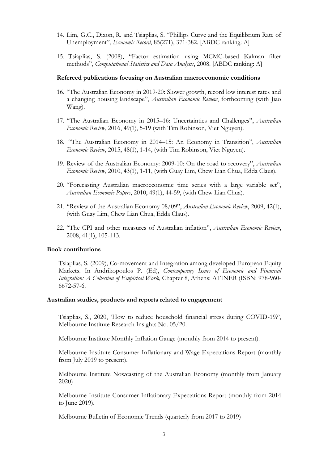- 14. Lim, G.C., Dixon, R. and Tsiaplias, S. "Phillips Curve and the Equilibrium Rate of Unemployment", *Economic Record*, 85(271), 371-382. [ABDC ranking: A]
- 15. Tsiaplias, S. (2008), "Factor estimation using MCMC-based Kalman filter methods", *Computational Statistics and Data Analysis*, 2008. [ABDC ranking: A]

#### **Refereed publications focusing on Australian macroeconomic conditions**

- 16. "The Australian Economy in 2019-20: Slower growth, record low interest rates and a changing housing landscape", *Australian Economic Review*, forthcoming (with Jiao Wang).
- 17. "The Australian Economy in 2015–16: Uncertainties and Challenges", *Australian Economic Review*, 2016, 49(1), 5-19 (with Tim Robinson, Viet Nguyen).
- 18. "The Australian Economy in 2014–15: An Economy in Transition", *Australian Economic Review*, 2015, 48(1), 1-14, (with Tim Robinson, Viet Nguyen).
- 19. Review of the Australian Economy: 2009-10: On the road to recovery", *Australian Economic Review*, 2010, 43(1), 1-11, (with Guay Lim, Chew Lian Chua, Edda Claus).
- 20. "Forecasting Australian macroeconomic time series with a large variable set", *Australian Economic Papers*, 2010, 49(1), 44-59, (with Chew Lian Chua).
- 21. "Review of the Australian Economy 08/09", *Australian Economic Review*, 2009, 42(1), (with Guay Lim, Chew Lian Chua, Edda Claus).
- 22. "The CPI and other measures of Australian inflation", *Australian Economic Review*, 2008, 41(1), 105-113.

#### **Book contributions**

Tsiaplias, S. (2009), Co-movement and Integration among developed European Equity Markets. In Andrikopoulos P. (Ed), *Contemporary Issues of Economic and Financial Integration: A Collection of Empirical Work*, Chapter 8, Athens: ATINER (ISBN: 978-960- 6672-57-6.

#### **Australian studies, products and reports related to engagement**

Tsiaplias, S., 2020, 'How to reduce household financial stress during COVID-19?', Melbourne Institute Research Insights No. 05/20.

Melbourne Institute Monthly Inflation Gauge (monthly from 2014 to present).

Melbourne Institute Consumer Inflationary and Wage Expectations Report (monthly from July 2019 to present).

Melbourne Institute Nowcasting of the Australian Economy (monthly from January 2020)

Melbourne Institute Consumer Inflationary Expectations Report (monthly from 2014 to June 2019).

Melbourne Bulletin of Economic Trends (quarterly from 2017 to 2019)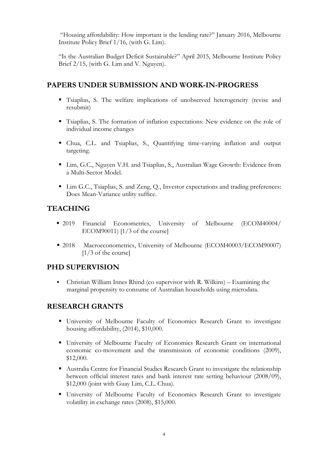"Housing affordability: How important is the lending rate?" January 2016, Melbourne Institute Policy Brief 1/16, (with G. Lim).

"Is the Australian Budget Deficit Sustainable?" April 2015, Melbourne Institute Policy Brief 2/15, (with G. Lim and V. Nguyen).

### **PAPERS UNDER SUBMISSION AND WORK-IN-PROGRESS**

- Tsiaplias, S. The welfare implications of unobserved heterogeneity (revise and resubmit)
- Tsiaplias, S. The formation of inflation expectations: New evidence on the role of individual income changes
- Chua, C.L. and Tsiaplias, S., Quantifying time-varying inflation and output targeting.
- Lim, G.C., Nguyen V.H. and Tsiaplias, S., Australian Wage Growth: Evidence from a Multi-Sector Model.
- Lim G.C., Tsiaplias, S. and Zeng, Q., Investor expectations and trading preferences: Does Mean-Variance utility suffice.

## **TEACHING**

- 2019 Financial Econometrics, University of Melbourne (ECOM40004/ ECOM90011) [1/3 of the course]
- 2018 Macroeconometrics, University of Melbourne (ECOM40003/ECOM90007)  $[1/3$  of the course]

### **PHD SUPERVISION**

▪ Christian William Innes Rhind (co supervisor with R. Wilkins) – Examining the marginal propensity to consume of Australian households using microdata.

## **RESEARCH GRANTS**

- University of Melbourne Faculty of Economics Research Grant to investigate housing affordability,  $(2014)$ , \$10,000.
- University of Melbourne Faculty of Economics Research Grant on international economic co-movement and the transmission of economic conditions (2009), \$12,000.
- Australia Centre for Financial Studies Research Grant to investigate the relationship between official interest rates and bank interest rate setting behaviour (2008/09), \$12,000 (joint with Guay Lim, C.L. Chua).
- University of Melbourne Faculty of Economics Research Grant to investigate volatility in exchange rates (2008), \$15,000.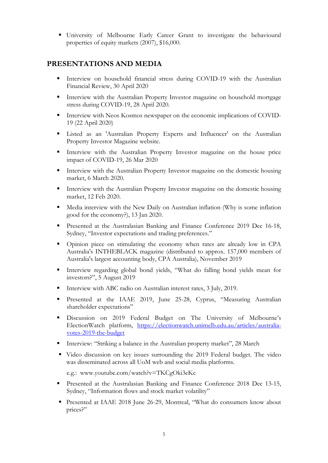▪ University of Melbourne Early Career Grant to investigate the behavioural properties of equity markets (2007), \$16,000.

### **PRESENTATIONS AND MEDIA**

- **■** Interview on household financial stress during COVID-19 with the Australian Financial Review, 30 April 2020
- **EXECUTE:** Interview with the Australian Property Investor magazine on household mortgage stress during COVID-19, 28 April 2020.
- **I** Interview with Neos Kosmos newspaper on the economic implications of COVID-19 (22 April 2020)
- Listed as an 'Australian Property Experts and Influencer' on the Australian Property Investor Magazine website.
- **EXECUTE:** Interview with the Australian Property Investor magazine on the house price impact of COVID-19, 26 Mar 2020
- **EXECUTE:** Interview with the Australian Property Investor magazine on the domestic housing market, 6 March 2020.
- **EXECUTE:** Interview with the Australian Property Investor magazine on the domestic housing market, 12 Feb 2020.
- Media interview with the New Daily on Australian inflation (Why is some inflation good for the economy?), 13 Jan 2020.
- **•** Presented at the Australasian Banking and Finance Conference 2019 Dec 16-18, Sydney, "Investor expectations and trading preferences."
- Opinion piece on stimulating the economy when rates are already low in CPA Australia's INTHEBLACK magazine (distributed to approx. 157,000 members of Australia's largest accounting body, CPA Australia), November 2019
- Interview regarding global bond yields, "What do falling bond yields mean for investors?", 5 August 2019
- Interview with ABC radio on Australian interest rates, 3 July, 2019.
- Presented at the IAAE 2019, June 25-28, Cyprus, "Measuring Australian shareholder expectations"
- Discussion on 2019 Federal Budget on The University of Melbourne's ElectionWatch platform, [https://electionwatch.unimelb.edu.au/articles/australia](https://electionwatch.unimelb.edu.au/articles/australia-votes-2019-the-budget)[votes-2019-the-budget](https://electionwatch.unimelb.edu.au/articles/australia-votes-2019-the-budget)
- **•** Interview: "Striking a balance in the Australian property market", 28 March
- Video discussion on key issues surrounding the 2019 Federal budget. The video was disseminated across all UoM web and social media platforms.

```
e.g.: www.youtube.com/watch?v=TKCgOki3eKc
```
- **•** Presented at the Australasian Banking and Finance Conference 2018 Dec 13-15, Sydney, "Information flows and stock market volatility"
- Presented at IAAE 2018 June 26-29, Montreal, "What do consumers know about prices?"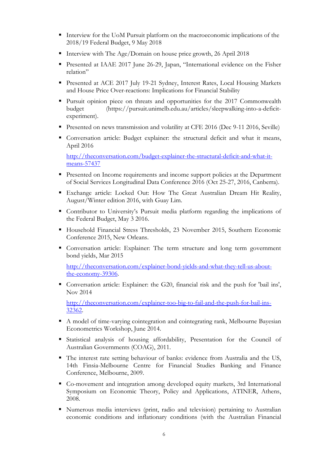- Interview for the UoM Pursuit platform on the macroeconomic implications of the 2018/19 Federal Budget, 9 May 2018
- Interview with The Age/Domain on house price growth, 26 April 2018
- Presented at IAAE 2017 June 26-29, Japan, "International evidence on the Fisher relation"
- Presented at ACE 2017 July 19-21 Sydney, Interest Rates, Local Housing Markets and House Price Over-reactions: Implications for Financial Stability
- Pursuit opinion piece on threats and opportunities for the 2017 Commonwealth budget (https://pursuit.unimelb.edu.au/articles/sleepwalking-into-a-deficitexperiment).
- **•** Presented on news transmission and volatility at CFE 2016 (Dec 9-11 2016, Seville)
- Conversation article: Budget explainer: the structural deficit and what it means, April 2016

[http://theconversation.com/budget-explainer-the-structural-deficit-and-what-it](http://theconversation.com/budget-explainer-the-structural-deficit-and-what-it-means-57437)[means-57437](http://theconversation.com/budget-explainer-the-structural-deficit-and-what-it-means-57437)

- Presented on Income requirements and income support policies at the Department of Social Services Longitudinal Data Conference 2016 (Oct 25-27, 2016, Canberra).
- Exchange article: Locked Out: How The Great Australian Dream Hit Reality, August/Winter edition 2016, with Guay Lim.
- Contributor to University's Pursuit media platform regarding the implications of the Federal Budget, May 3 2016.
- Household Financial Stress Thresholds, 23 November 2015, Southern Economic Conference 2015, New Orleans.
- Conversation article: Explainer: The term structure and long term government bond yields, Mar 2015

[http://theconversation.com/explainer-bond-yields-and-what-they-tell-us-about](http://theconversation.com/explainer-bond-yields-and-what-they-tell-us-about-the-economy-39306)[the-economy-39306.](http://theconversation.com/explainer-bond-yields-and-what-they-tell-us-about-the-economy-39306)

▪ Conversation article: Explainer: the G20, financial risk and the push for 'bail ins', Nov 2014

[http://theconversation.com/explainer-too-big-to-fail-and-the-push-for-bail-ins-](http://theconversation.com/explainer-too-big-to-fail-and-the-push-for-bail-ins-32362)[32362.](http://theconversation.com/explainer-too-big-to-fail-and-the-push-for-bail-ins-32362)

- A model of time-varying cointegration and cointegrating rank, Melbourne Bayesian Econometrics Workshop, June 2014.
- Statistical analysis of housing affordability, Presentation for the Council of Australian Governments (COAG), 2011.
- The interest rate setting behaviour of banks: evidence from Australia and the US, 14th Finsia-Melbourne Centre for Financial Studies Banking and Finance Conference, Melbourne, 2009.
- Co-movement and integration among developed equity markets, 3rd International Symposium on Economic Theory, Policy and Applications, ATINER, Athens, 2008.
- Numerous media interviews (print, radio and television) pertaining to Australian economic conditions and inflationary conditions (with the Australian Financial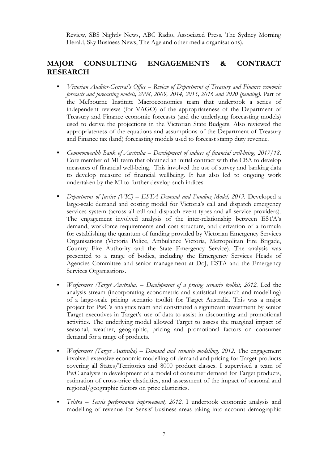Review, SBS Nightly News, ABC Radio, Associated Press, The Sydney Morning Herald, Sky Business News, The Age and other media organisations).

## **MAJOR CONSULTING ENGAGEMENTS & CONTRACT RESEARCH**

- *Victorian Auditor-General's Office Review of Department of Treasury and Finance economic forecasts and forecasting models, 2008, 2009, 2014, 2015, 2016 and 2020 (pending)*. Part of the Melbourne Institute Macroeconomics team that undertook a series of independent reviews (for VAGO) of the appropriateness of the Department of Treasury and Finance economic forecasts (and the underlying forecasting models) used to derive the projections in the Victorian State Budgets. Also reviewed the appropriateness of the equations and assumptions of the Department of Treasury and Finance tax (land) forecasting models used to forecast stamp duty revenue.
- *Commonwealth Bank of Australia – Development of indices of financial well-being, 2017/18*. Core member of MI team that obtained an initial contract with the CBA to develop measures of financial well-being. This involved the use of survey and banking data to develop measure of financial wellbeing. It has also led to ongoing work undertaken by the MI to further develop such indices.
- *Department of Justice (VIC) ESTA Demand and Funding Model, 2013.* Developed a large-scale demand and costing model for Victoria's call and dispatch emergency services system (across all call and dispatch event types and all service providers). The engagement involved analysis of the inter-relationship between ESTA's demand, workforce requirements and cost structure, and derivation of a formula for establishing the quantum of funding provided by Victorian Emergency Services Organisations (Victoria Police, Ambulance Victoria, Metropolitan Fire Brigade, Country Fire Authority and the State Emergency Service). The analysis was presented to a range of bodies, including the Emergency Services Heads of Agencies Committee and senior management at DoJ, ESTA and the Emergency Services Organisations.
- *Wesfarmers (Target Australia) – Development of a pricing scenario toolkit, 2012.* Led the analysis stream (incorporating econometric and statistical research and modelling) of a large-scale pricing scenario toolkit for Target Australia. This was a major project for PwC's analytics team and constituted a significant investment by senior Target executives in Target's use of data to assist in discounting and promotional activities. The underlying model allowed Target to assess the marginal impact of seasonal, weather, geographic, pricing and promotional factors on consumer demand for a range of products.
- *Wesfarmers (Target Australia) – Demand and scenario modelling, 2012*. The engagement involved extensive economic modelling of demand and pricing for Target products covering all States/Territories and 8000 product classes. I supervised a team of PwC analysts in development of a model of consumer demand for Target products, estimation of cross-price elasticities, and assessment of the impact of seasonal and regional/geographic factors on price elasticities.
- *Telstra – Sensis performance improvement, 2012*. I undertook economic analysis and modelling of revenue for Sensis' business areas taking into account demographic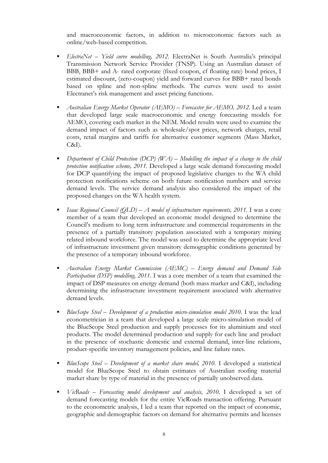and macroeconomic factors, in addition to microeconomic factors such as online/web-based competition.

- *ElectraNet – Yield curve modelling, 2012.* ElectraNet is South Australia's principal Transmission Network Service Provider (TNSP). Using an Australian dataset of BBB, BBB+ and A- rated corporate (fixed coupon, cf floating rate) bond prices, I estimated discount, (zero-coupon) yield and forward curves for BBB+ rated bonds based on spline and non-spline methods. The curves were used to assist Electranet's risk management and asset pricing functions.
- *Australian Energy Market Operator (AEMO) – Forecaster for AEMO, 2012.* Led a team that developed large scale macroeconomic and energy forecasting models for AEMO, covering each market in the NEM. Model results were used to examine the demand impact of factors such as wholesale/spot prices, network charges, retail costs, retail margins and tariffs for alternative customer segments (Mass Market,  $C&I$ ).
- *Department of Child Protection (DCP) (WA) Modelling the impact of a change to the child protection notification scheme, 2011*. Developed a large scale demand forecasting model for DCP quantifying the impact of proposed legislative changes to the WA child protection notifications scheme on both future notification numbers and service demand levels. The service demand analysis also considered the impact of the proposed changes on the WA health system.
- *Isaac Regional Council (QLD) A model of infrastructure requirements, 2011.* I was a core member of a team that developed an economic model designed to determine the Council's medium to long term infrastructure and commercial requirements in the presence of a partially transitory population associated with a temporary mining related inbound workforce. The model was used to determine the appropriate level of infrastructure investment given transitory demographic conditions generated by the presence of a temporary inbound workforce.
- *Australian Energy Market Commission (AEMC) – Energy demand and Demand Side Participation (DSP) modelling, 2011*. I was a core member of a team that examined the impact of DSP measures on energy demand (both mass market and C&I), including determining the infrastructure investment requirement associated with alternative demand levels.
- *BlueScope Steel – Development of a production micro-simulation model 2010*. I was the lead econometrician in a team that developed a large scale micro-simulation model of the BlueScope Steel production and supply processes for its aluminium and steel products. The model determined production and supply for each line and product in the presence of stochastic domestic and external demand, inter-line relations, product-specific inventory management policies, and line failure rates.
- *BlueScope Steel – Development of a market share model, 2010.* I developed a statistical model for BlueScope Steel to obtain estimates of Australian roofing material market share by type of material in the presence of partially unobserved data.
- *VicRoads – Forecasting model development and analysis, 2010*. I developed a set of demand forecasting models for the entire VicRoads transaction offering. Pursuant to the econometric analysis, I led a team that reported on the impact of economic, geographic and demographic factors on demand for alternative permits and licenses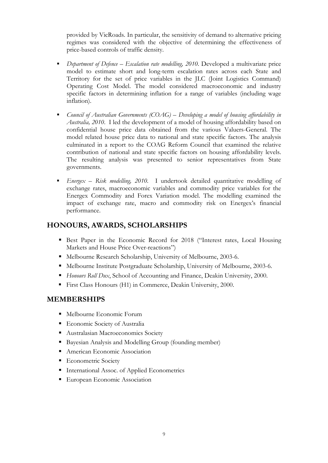provided by VicRoads. In particular, the sensitivity of demand to alternative pricing regimes was considered with the objective of determining the effectiveness of price-based controls of traffic density.

- *Department of Defence – Escalation rate modelling, 2010*. Developed a multivariate price model to estimate short and long-term escalation rates across each State and Territory for the set of price variables in the JLC (Joint Logistics Command) Operating Cost Model. The model considered macroeconomic and industry specific factors in determining inflation for a range of variables (including wage inflation).
- *Council of Australian Governments (COAG) Developing a model of housing affordability in Australia, 2010*. I led the development of a model of housing affordability based on confidential house price data obtained from the various Valuers-General. The model related house price data to national and state specific factors. The analysis culminated in a report to the COAG Reform Council that examined the relative contribution of national and state specific factors on housing affordability levels. The resulting analysis was presented to senior representatives from State governments.
- *Energex – Risk modelling, 2010.* I undertook detailed quantitative modelling of exchange rates, macroeconomic variables and commodity price variables for the Energex Commodity and Forex Variation model. The modelling examined the impact of exchange rate, macro and commodity risk on Energex's financial performance.

### **HONOURS, AWARDS, SCHOLARSHIPS**

- **Execute Paper in the Economic Record for 2018 ("Interest rates, Local Housing** Markets and House Price Over-reactions")
- Melbourne Research Scholarship, University of Melbourne, 2003-6.
- Melbourne Institute Postgraduate Scholarship, University of Melbourne, 2003-6.
- *Honours Roll Dux*, School of Accounting and Finance, Deakin University, 2000.
- **First Class Honours (H1) in Commerce, Deakin University, 2000.**

### **MEMBERSHIPS**

- Melbourne Economic Forum
- **Economic Society of Australia**
- Australasian Macroeconomics Society
- Bayesian Analysis and Modelling Group (founding member)
- **American Economic Association**
- **Econometric Society**
- International Assoc. of Applied Econometrics
- **European Economic Association**